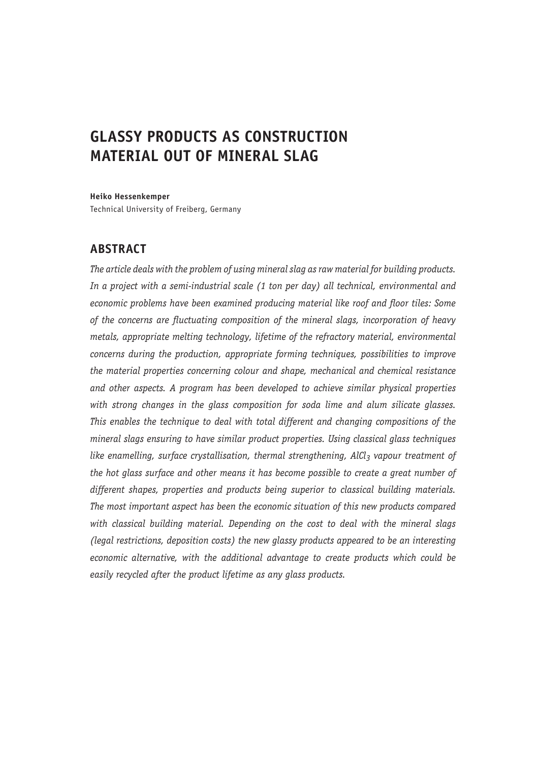# **GLASSY PRODUCTS AS CONSTRUCTION MATERIAL OUT OF MINERAL SLAG**

**Heiko Hessenkemper**

Technical University of Freiberg, Germany

#### **ABSTRACT**

*The article deals with the problem of using mineral slag as raw material for building products. In a project with a semi-industrial scale (1 ton per day) all technical, environmental and economic problems have been examined producing material like roof and floor tiles: Some of the concerns are fluctuating composition of the mineral slags, incorporation of heavy metals, appropriate melting technology, lifetime of the refractory material, environmental concerns during the production, appropriate forming techniques, possibilities to improve the material properties concerning colour and shape, mechanical and chemical resistance and other aspects. A program has been developed to achieve similar physical properties with strong changes in the glass composition for soda lime and alum silicate glasses. This enables the technique to deal with total different and changing compositions of the mineral slags ensuring to have similar product properties. Using classical glass techniques*  like enamelling, surface crystallisation, thermal strengthening, AlCl<sub>3</sub> vapour treatment of *the hot glass surface and other means it has become possible to create a great number of different shapes, properties and products being superior to classical building materials. The most important aspect has been the economic situation of this new products compared with classical building material. Depending on the cost to deal with the mineral slags (legal restrictions, deposition costs) the new glassy products appeared to be an interesting economic alternative, with the additional advantage to create products which could be easily recycled after the product lifetime as any glass products.*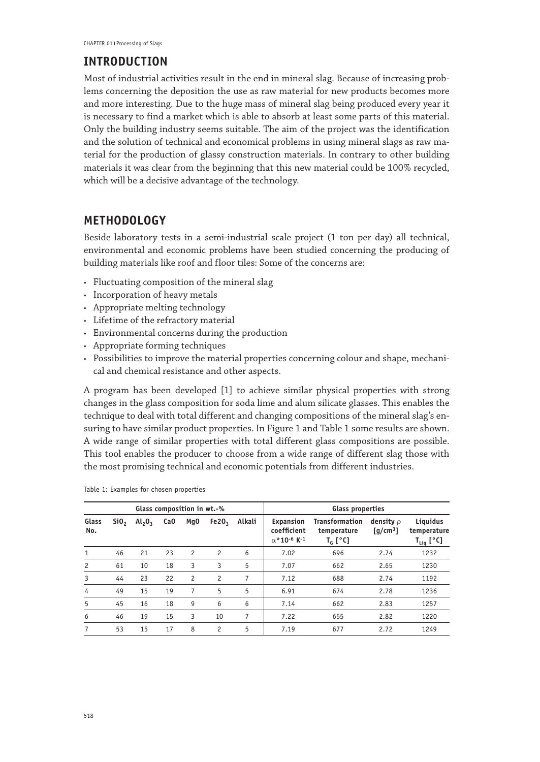# **INTRODUCTION**

Most of industrial activities result in the end in mineral slag. Because of increasing problems concerning the deposition the use as raw material for new products becomes more and more interesting. Due to the huge mass of mineral slag being produced every year it is necessary to find a market which is able to absorb at least some parts of this material. Only the building industry seems suitable. The aim of the project was the identification and the solution of technical and economical problems in using mineral slags as raw material for the production of glassy construction materials. In contrary to other building materials it was clear from the beginning that this new material could be 100% recycled, which will be a decisive advantage of the technology.

# **METHODOLOGY**

Beside laboratory tests in a semi-industrial scale project (1 ton per day) all technical, environmental and economic problems have been studied concerning the producing of building materials like roof and floor tiles: Some of the concerns are:

- • Fluctuating composition of the mineral slag
- • Incorporation of heavy metals
- • Appropriate melting technology
- • Lifetime of the refractory material
- • Environmental concerns during the production
- • Appropriate forming techniques
- • Possibilities to improve the material properties concerning colour and shape, mechanical and chemical resistance and other aspects.

A program has been developed [1] to achieve similar physical properties with strong changes in the glass composition for soda lime and alum silicate glasses. This enables the technique to deal with total different and changing compositions of the mineral slag's ensuring to have similar product properties. In Figure 1 and Table 1 some results are shown. A wide range of similar properties with total different glass compositions are possible. This tool enables the producer to choose from a wide range of different slag those with the most promising technical and economic potentials from different industries.

| Glass composition in wt.-% |                  |           |     |                 |                |        | Glass properties                                                       |                                                                     |                              |                                                             |
|----------------------------|------------------|-----------|-----|-----------------|----------------|--------|------------------------------------------------------------------------|---------------------------------------------------------------------|------------------------------|-------------------------------------------------------------|
| Glass<br>No.               | SiO <sub>2</sub> | $Al_2O_3$ | CaO | Mg <sub>0</sub> | Fe20,          | Alkali | Expansion<br>coefficient<br>$\alpha$ *10 <sup>-6</sup> K <sup>-1</sup> | Transformation<br>temperature<br>$T_{\scriptscriptstyle\rm G}$ [°C] | density $\rho$<br>$[g/cm^3]$ | Liquidus<br>temperature<br>$\mathsf{T}_{\mathsf{Liq}}$ [°C] |
| 1                          | 46               | 21        | 23  | $\overline{c}$  | 2              | 6      | 7.02                                                                   | 696                                                                 | 2.74                         | 1232                                                        |
| 2                          | 61               | 10        | 18  | 3               | 3              | 5      | 7.07                                                                   | 662                                                                 | 2.65                         | 1230                                                        |
| 3                          | 44               | 23        | 22  | $\overline{c}$  | $\overline{c}$ | 7      | 7.12                                                                   | 688                                                                 | 2.74                         | 1192                                                        |
| 4                          | 49               | 15        | 19  | 7               | 5              | 5      | 6.91                                                                   | 674                                                                 | 2.78                         | 1236                                                        |
| 5                          | 45               | 16        | 18  | 9               | 6              | 6      | 7.14                                                                   | 662                                                                 | 2.83                         | 1257                                                        |
| 6                          | 46               | 19        | 15  | 3               | 10             | 7      | 7.22                                                                   | 655                                                                 | 2.82                         | 1220                                                        |
| 7                          | 53               | 15        | 17  | 8               | 2              | 5      | 7.19                                                                   | 677                                                                 | 2.72                         | 1249                                                        |

Table 1: Examples for chosen properties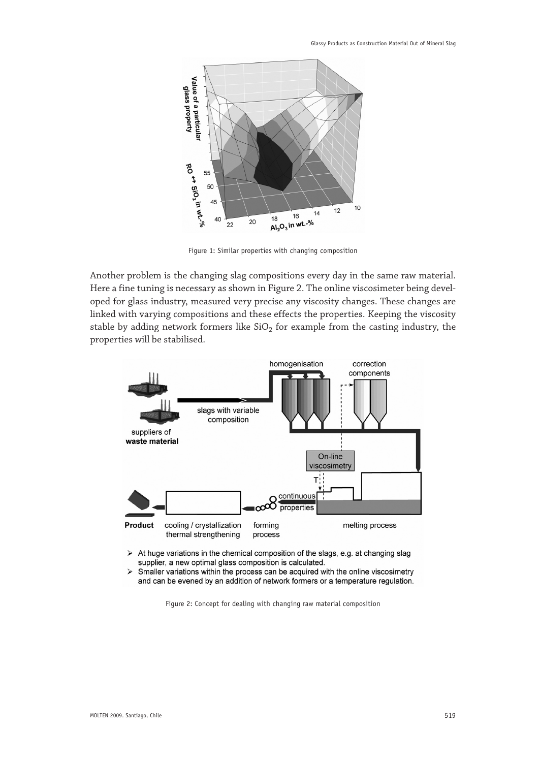

Figure 1: Similar properties with changing composition

Another problem is the changing slag compositions every day in the same raw material. Here a fine tuning is necessary as shown in Figure 2. The online viscosimeter being developed for glass industry, measured very precise any viscosity changes. These changes are linked with varying compositions and these effects the properties. Keeping the viscosity stable by adding network formers like  $SiO<sub>2</sub>$  for example from the casting industry, the properties will be stabilised.



- At huge variations in the chemical composition of the slags, e.g. at changing slag  $\blacktriangleright$ supplier, a new optimal glass composition is calculated.
- Smaller variations within the process can be acquired with the online viscosimetry  $\blacktriangleright$ and can be evened by an addition of network formers or a temperature regulation.

Figure 2: Concept for dealing with changing raw material composition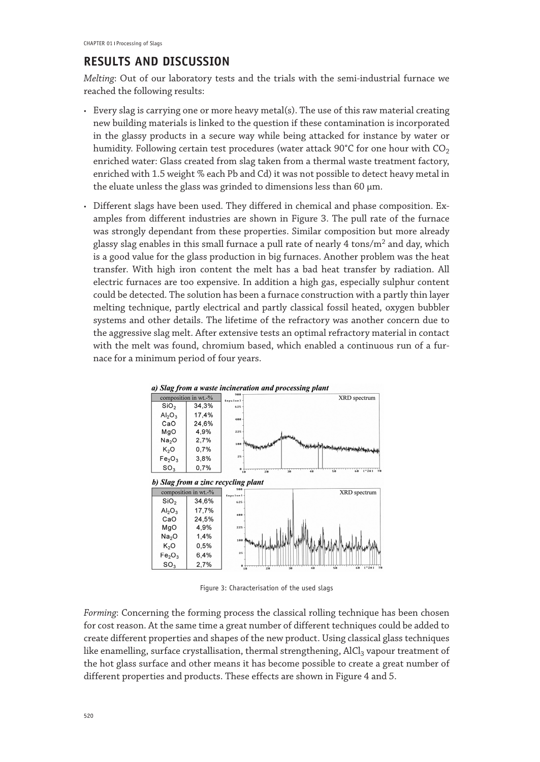# **RESULTS AND DISCUSSION**

*Melting*: Out of our laboratory tests and the trials with the semi-industrial furnace we reached the following results:

- • Every slag is carrying one or more heavy metal(s). The use of this raw material creating new building materials is linked to the question if these contamination is incorporated in the glassy products in a secure way while being attacked for instance by water or humidity. Following certain test procedures (water attack 90°C for one hour with  $CO<sub>2</sub>$ enriched water: Glass created from slag taken from a thermal waste treatment factory, enriched with 1.5 weight % each Pb and Cd) it was not possible to detect heavy metal in the eluate unless the glass was grinded to dimensions less than 60 μm.
- • Different slags have been used. They differed in chemical and phase composition. Examples from different industries are shown in Figure 3. The pull rate of the furnace was strongly dependant from these properties. Similar composition but more already glassy slag enables in this small furnace a pull rate of nearly  $4 \text{ tons/m}^2$  and day, which is a good value for the glass production in big furnaces. Another problem was the heat transfer. With high iron content the melt has a bad heat transfer by radiation. All electric furnaces are too expensive. In addition a high gas, especially sulphur content could be detected. The solution has been a furnace construction with a partly thin layer melting technique, partly electrical and partly classical fossil heated, oxygen bubbler systems and other details. The lifetime of the refractory was another concern due to the aggressive slag melt. After extensive tests an optimal refractory material in contact with the melt was found, chromium based, which enabled a continuous run of a furnace for a minimum period of four years.



Figure 3: Characterisation of the used slags

*Forming*: Concerning the forming process the classical rolling technique has been chosen for cost reason. At the same time a great number of different techniques could be added to create different properties and shapes of the new product. Using classical glass techniques like enamelling, surface crystallisation, thermal strengthening, AlCl<sub>3</sub> vapour treatment of the hot glass surface and other means it has become possible to create a great number of different properties and products. These effects are shown in Figure 4 and 5.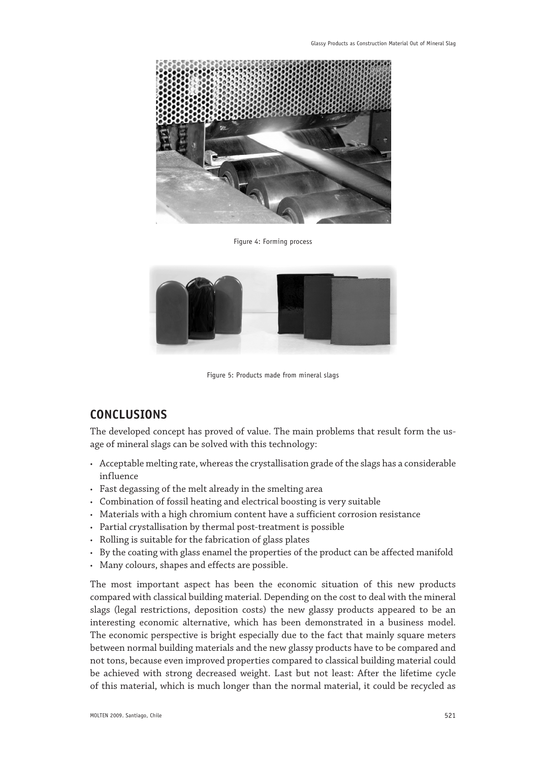

Figure 4: Forming process



Figure 5: Products made from mineral slags

## **CONCLUSIONS**

The developed concept has proved of value. The main problems that result form the usage of mineral slags can be solved with this technology:

- $\cdot$  Acceptable melting rate, whereas the crystallisation grade of the slags has a considerable influence
- • Fast degassing of the melt already in the smelting area
- • Combination of fossil heating and electrical boosting is very suitable
- Materials with a high chromium content have a sufficient corrosion resistance
- • Partial crystallisation by thermal post-treatment is possible
- • Rolling is suitable for the fabrication of glass plates
- • By the coating with glass enamel the properties of the product can be affected manifold
- • Many colours, shapes and effects are possible.

The most important aspect has been the economic situation of this new products compared with classical building material. Depending on the cost to deal with the mineral slags (legal restrictions, deposition costs) the new glassy products appeared to be an interesting economic alternative, which has been demonstrated in a business model. The economic perspective is bright especially due to the fact that mainly square meters between normal building materials and the new glassy products have to be compared and not tons, because even improved properties compared to classical building material could be achieved with strong decreased weight. Last but not least: After the lifetime cycle of this material, which is much longer than the normal material, it could be recycled as